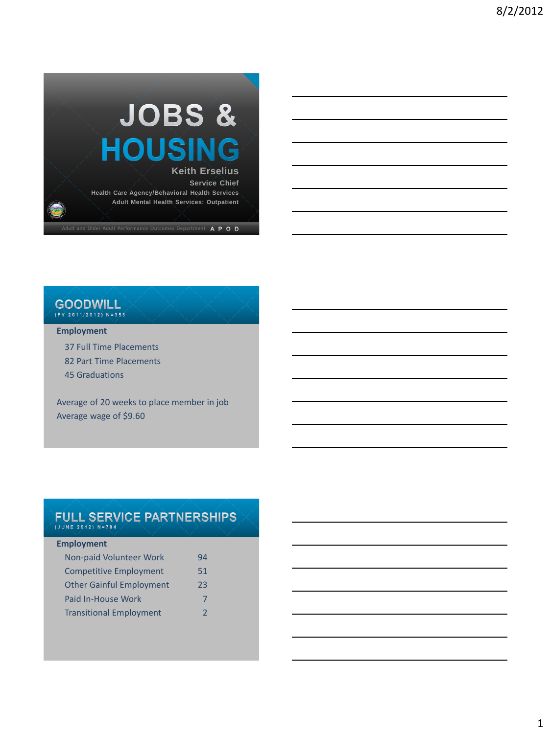

## **GOODWILL**

### **Employment**

37 Full Time Placements 82 Part Time Placements

45 Graduations

Average of 20 weeks to place member in job Average wage of \$9.60

### FULL SERVICE PARTNERSHIPS  $(JUNE 2012) N=784$

### **Employment**

| Non-paid Volunteer Work         | 94 |
|---------------------------------|----|
| <b>Competitive Employment</b>   | 51 |
| <b>Other Gainful Employment</b> | 23 |
| Paid In-House Work              | 7  |
| <b>Transitional Employment</b>  | 2  |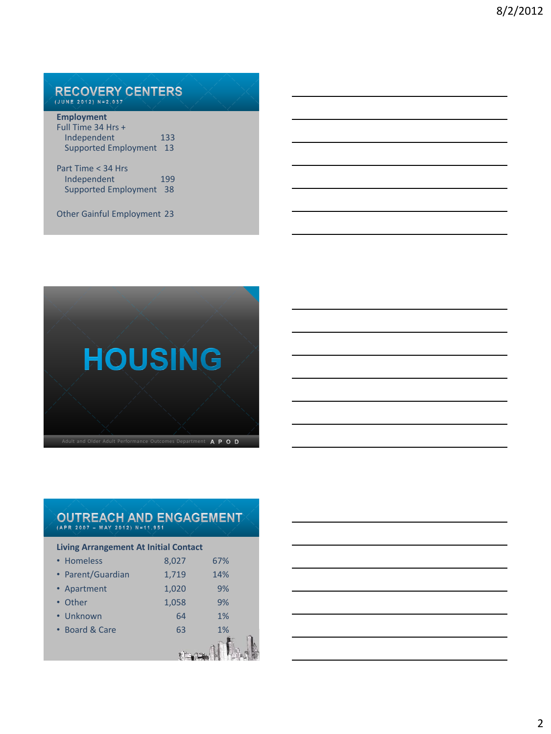## RECOVERY CENTERS

| <b>Employment</b>           |     |
|-----------------------------|-----|
| Full Time 34 Hrs +          |     |
| Independent                 | 133 |
| <b>Supported Employment</b> | 13  |
| Part Time < 34 Hrs          |     |
| Independent                 | 199 |

Supported Employment 38

Other Gainful Employment 23



## OUTREACH AND ENGAGEMENT

| <b>Living Arrangement At Initial Contact</b> |       |     |  |  |  |  |
|----------------------------------------------|-------|-----|--|--|--|--|
| • Homeless                                   | 8,027 | 67% |  |  |  |  |
| • Parent/Guardian                            | 1,719 | 14% |  |  |  |  |
| • Apartment                                  | 1,020 | 9%  |  |  |  |  |
| • Other                                      | 1,058 | 9%  |  |  |  |  |
| • Unknown                                    | 64    | 1%  |  |  |  |  |
| • Board & Care                               | 63    | 1%  |  |  |  |  |
|                                              |       |     |  |  |  |  |

|  |  | <u> 1989 - Johann Stoff, deutscher Stoff, der Stoff, der Stoff, der Stoff, der Stoff, der Stoff, der Stoff, der S</u> |
|--|--|-----------------------------------------------------------------------------------------------------------------------|
|  |  | <u> 1989 - Johann Stoff, deutscher Stoff, der Stoff, der Stoff, der Stoff, der Stoff, der Stoff, der Stoff, der S</u> |
|  |  | <u> 1989 - Johann Stein, marwolaethau a bhann an t-Albann an t-Albann an t-Albann an t-Albann an t-Albann an t-Al</u> |
|  |  |                                                                                                                       |
|  |  | <u> 1980 - Johann Barbara, martxa alemaniar argumento este alemaniar alemaniar alemaniar alemaniar alemaniar al</u>   |
|  |  |                                                                                                                       |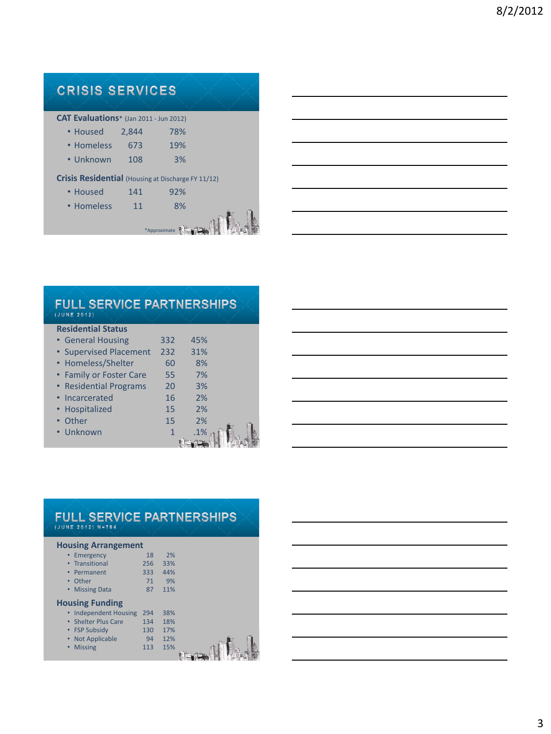### **CRISIS SERVICES CAT Evaluations**\* (Jan 2011 - Jun 2012) • Housed 2,844 78% • Homeless 673 19% • Unknown 108 3% **Crisis Residential** (Housing at Discharge FY 11/12) • Housed 141 92% • Homeless 11 8% \*Approximate  $\left\| \frac{1}{2} + \frac{1}{2} \right\|$

| <b>FULL SERVICE PARTNERSHIPS</b><br>(JUNE 2012) |              |     |  |
|-------------------------------------------------|--------------|-----|--|
| <b>Residential Status</b>                       |              |     |  |
| • General Housing                               | 332          | 45% |  |
| • Supervised Placement                          | 232          | 31% |  |
| • Homeless/Shelter                              | 60           | 8%  |  |
| • Family or Foster Care                         | 55           | 7%  |  |
| • Residential Programs                          | 20           | 3%  |  |
| • Incarcerated                                  | 16           | 2%  |  |
| • Hospitalized                                  | 15           | 2%  |  |
| • Other                                         | 15           | 2%  |  |
| • Unknown                                       | $\mathbf{1}$ | .1% |  |
|                                                 |              |     |  |

|      | the contract of the contract of the contract of the contract of the contract of                                         |  |                          |  |
|------|-------------------------------------------------------------------------------------------------------------------------|--|--------------------------|--|
|      |                                                                                                                         |  |                          |  |
| ____ | the contract of the contract of the contract of the contract of the contract of                                         |  |                          |  |
|      | <u> 1989 - Johann Harry Harry Harry Harry Harry Harry Harry Harry Harry Harry Harry Harry Harry Harry Harry Harry H</u> |  | <b>Contract Contract</b> |  |
|      |                                                                                                                         |  |                          |  |
|      |                                                                                                                         |  |                          |  |
|      |                                                                                                                         |  |                          |  |

### FULL SERVICE PARTNERSHIPS

 $(JUNE 2012) N=784$ 

#### **Housing Arrangement**

|   | Emergency                               | 18  | 2%  |  |
|---|-----------------------------------------|-----|-----|--|
|   | • Transitional                          | 256 | 33% |  |
|   | Permanent<br>$\bullet$                  | 333 | 44% |  |
|   | Other<br>$\bullet$                      | 71  | 9%  |  |
| ٠ | <b>Missing Data</b>                     | 87  | 11% |  |
|   | <b>Housing Funding</b>                  |     |     |  |
|   | <b>Independent Housing</b><br>$\bullet$ | 294 | 38% |  |
|   | • Shelter Plus Care                     | 134 | 18% |  |
|   | • FSP Subsidy                           | 130 | 17% |  |
| ٠ | <b>Not Applicable</b>                   | 94  | 12% |  |
| ٠ | <b>Missing</b>                          | 113 | 15% |  |
|   |                                         |     |     |  |